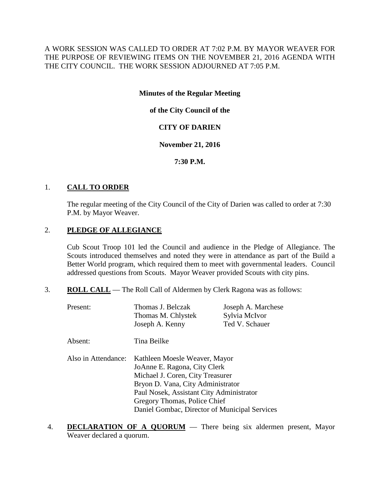A WORK SESSION WAS CALLED TO ORDER AT 7:02 P.M. BY MAYOR WEAVER FOR THE PURPOSE OF REVIEWING ITEMS ON THE NOVEMBER 21, 2016 AGENDA WITH THE CITY COUNCIL. THE WORK SESSION ADJOURNED AT 7:05 P.M.

### **Minutes of the Regular Meeting**

# **of the City Council of the**

# **CITY OF DARIEN**

### **November 21, 2016**

### **7:30 P.M.**

### 1. **CALL TO ORDER**

The regular meeting of the City Council of the City of Darien was called to order at 7:30 P.M. by Mayor Weaver.

# 2. **PLEDGE OF ALLEGIANCE**

Cub Scout Troop 101 led the Council and audience in the Pledge of Allegiance. The Scouts introduced themselves and noted they were in attendance as part of the Build a Better World program, which required them to meet with governmental leaders. Council addressed questions from Scouts. Mayor Weaver provided Scouts with city pins.

3. **ROLL CALL** — The Roll Call of Aldermen by Clerk Ragona was as follows:

| Present:            | Thomas J. Belczak<br>Thomas M. Chlystek<br>Joseph A. Kenny                                                                                                                                                                                                          | Joseph A. Marchese<br>Sylvia McIvor<br>Ted V. Schauer |  |
|---------------------|---------------------------------------------------------------------------------------------------------------------------------------------------------------------------------------------------------------------------------------------------------------------|-------------------------------------------------------|--|
| Absent:             | Tina Beilke                                                                                                                                                                                                                                                         |                                                       |  |
| Also in Attendance: | Kathleen Moesle Weaver, Mayor<br>JoAnne E. Ragona, City Clerk<br>Michael J. Coren, City Treasurer<br>Bryon D. Vana, City Administrator<br>Paul Nosek, Assistant City Administrator<br>Gregory Thomas, Police Chief<br>Daniel Gombac, Director of Municipal Services |                                                       |  |

4. **DECLARATION OF A QUORUM** — There being six aldermen present, Mayor Weaver declared a quorum.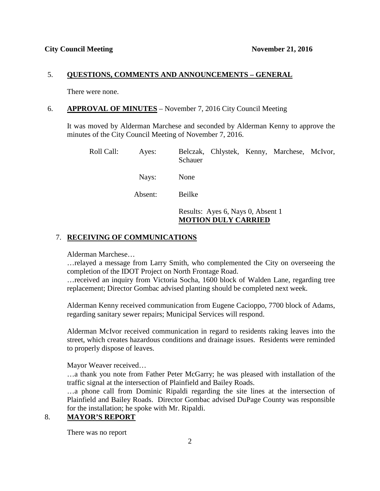#### 5. **QUESTIONS, COMMENTS AND ANNOUNCEMENTS – GENERAL**

There were none.

#### 6. **APPROVAL OF MINUTES** – November 7, 2016 City Council Meeting

It was moved by Alderman Marchese and seconded by Alderman Kenny to approve the minutes of the City Council Meeting of November 7, 2016.

| Roll Call:                     | Ayes:   | Belczak, Chlystek, Kenny, Marchese, McIvor,<br>Schauer          |
|--------------------------------|---------|-----------------------------------------------------------------|
|                                | Nays:   | None                                                            |
|                                | Absent: | Beilke                                                          |
|                                |         | Results: Ayes 6, Nays 0, Absent 1<br><b>MOTION DULY CARRIED</b> |
| 7. RECEIVING OF COMMUNICATIONS |         |                                                                 |

Alderman Marchese…

…relayed a message from Larry Smith, who complemented the City on overseeing the completion of the IDOT Project on North Frontage Road.

…received an inquiry from Victoria Socha, 1600 block of Walden Lane, regarding tree replacement; Director Gombac advised planting should be completed next week.

Alderman Kenny received communication from Eugene Cacioppo, 7700 block of Adams, regarding sanitary sewer repairs; Municipal Services will respond.

Alderman McIvor received communication in regard to residents raking leaves into the street, which creates hazardous conditions and drainage issues. Residents were reminded to properly dispose of leaves.

Mayor Weaver received…

…a thank you note from Father Peter McGarry; he was pleased with installation of the traffic signal at the intersection of Plainfield and Bailey Roads.

…a phone call from Dominic Ripaldi regarding the site lines at the intersection of Plainfield and Bailey Roads. Director Gombac advised DuPage County was responsible for the installation; he spoke with Mr. Ripaldi.

### 8. **MAYOR'S REPORT**

There was no report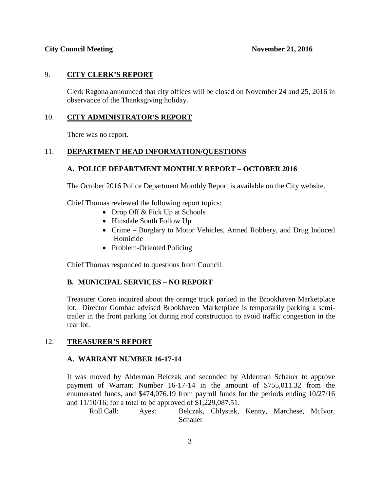### 9. **CITY CLERK'S REPORT**

Clerk Ragona announced that city offices will be closed on November 24 and 25, 2016 in observance of the Thanksgiving holiday.

# 10. **CITY ADMINISTRATOR'S REPORT**

There was no report.

# 11. **DEPARTMENT HEAD INFORMATION/QUESTIONS**

# **A. POLICE DEPARTMENT MONTHLY REPORT – OCTOBER 2016**

The October 2016 Police Department Monthly Report is available on the City website.

Chief Thomas reviewed the following report topics:

- Drop Off & Pick Up at Schools
- Hinsdale South Follow Up
- Crime Burglary to Motor Vehicles, Armed Robbery, and Drug Induced Homicide
- Problem-Oriented Policing

Chief Thomas responded to questions from Council.

### **B. MUNICIPAL SERVICES – NO REPORT**

Treasurer Coren inquired about the orange truck parked in the Brookhaven Marketplace lot. Director Gombac advised Brookhaven Marketplace is temporarily parking a semitrailer in the front parking lot during roof construction to avoid traffic congestion in the rear lot.

### 12. **TREASURER'S REPORT**

### **A. WARRANT NUMBER 16-17-14**

It was moved by Alderman Belczak and seconded by Alderman Schauer to approve payment of Warrant Number 16-17-14 in the amount of \$755,011.32 from the enumerated funds, and \$474,076.19 from payroll funds for the periods ending 10/27/16 and 11/10/16; for a total to be approved of \$1,229,087.51.

Roll Call: Ayes: Belczak, Chlystek, Kenny, Marchese, McIvor, Schauer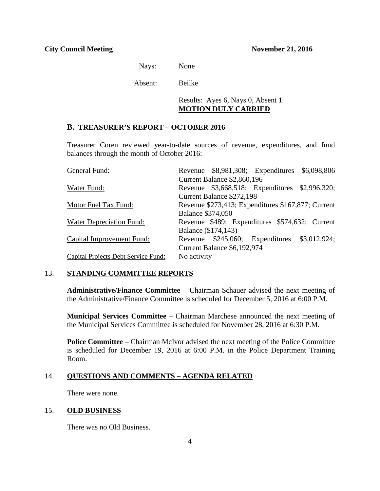Nays: None

Absent: Beilke

### Results: Ayes 6, Nays 0, Absent 1 **MOTION DULY CARRIED**

#### **B. TREASURER'S REPORT – OCTOBER 2016**

Treasurer Coren reviewed year-to-date sources of revenue, expenditures, and fund balances through the month of October 2016:

| General Fund:                              |                          |                             | Revenue \$8,981,308; Expenditures \$6,098,806      |  |
|--------------------------------------------|--------------------------|-----------------------------|----------------------------------------------------|--|
|                                            |                          | Current Balance \$2,860,196 |                                                    |  |
| Water Fund:                                |                          |                             | Revenue \$3,668,518; Expenditures \$2,996,320;     |  |
|                                            |                          | Current Balance \$272,198   |                                                    |  |
| Motor Fuel Tax Fund:                       |                          |                             | Revenue \$273,413; Expenditures \$167,877; Current |  |
|                                            | <b>Balance \$374,050</b> |                             |                                                    |  |
| Water Depreciation Fund:                   |                          |                             | Revenue \$489; Expenditures \$574,632; Current     |  |
|                                            |                          | Balance (\$174,143)         |                                                    |  |
| Capital Improvement Fund:                  |                          |                             | Revenue \$245,060; Expenditures \$3,012,924;       |  |
|                                            |                          | Current Balance \$6,192,974 |                                                    |  |
| <b>Capital Projects Debt Service Fund:</b> | No activity              |                             |                                                    |  |

#### 13. **STANDING COMMITTEE REPORTS**

**Administrative/Finance Committee** – Chairman Schauer advised the next meeting of the Administrative/Finance Committee is scheduled for December 5, 2016 at 6:00 P.M.

**Municipal Services Committee** – Chairman Marchese announced the next meeting of the Municipal Services Committee is scheduled for November 28, 2016 at 6:30 P.M.

**Police Committee** – Chairman McIvor advised the next meeting of the Police Committee is scheduled for December 19, 2016 at 6:00 P.M. in the Police Department Training Room.

### 14. **QUESTIONS AND COMMENTS – AGENDA RELATED**

There were none.

#### 15. **OLD BUSINESS**

There was no Old Business.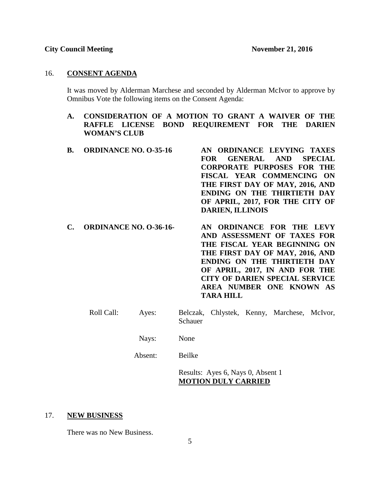#### 16. **CONSENT AGENDA**

It was moved by Alderman Marchese and seconded by Alderman McIvor to approve by Omnibus Vote the following items on the Consent Agenda:

### **A. CONSIDERATION OF A MOTION TO GRANT A WAIVER OF THE RAFFLE LICENSE BOND REQUIREMENT FOR THE DARIEN WOMAN'S CLUB**

| <b>B.</b> ORDINANCE NO. 0-35-16 | AN ORDINANCE LEVYING TAXES        |
|---------------------------------|-----------------------------------|
|                                 | FOR GENERAL AND SPECIAL           |
|                                 | <b>CORPORATE PURPOSES FOR THE</b> |
|                                 | FISCAL YEAR COMMENCING ON         |
|                                 | THE FIRST DAY OF MAY, 2016, AND   |
|                                 | ENDING ON THE THIRTIETH DAY       |
|                                 | OF APRIL, 2017, FOR THE CITY OF   |
|                                 | <b>DARIEN, ILLINOIS</b>           |
|                                 |                                   |

- **C. ORDINANCE NO. O-36-16- AN ORDINANCE FOR THE LEVY AND ASSESSMENT OF TAXES FOR THE FISCAL YEAR BEGINNING ON THE FIRST DAY OF MAY, 2016, AND ENDING ON THE THIRTIETH DAY OF APRIL, 2017, IN AND FOR THE CITY OF DARIEN SPECIAL SERVICE AREA NUMBER ONE KNOWN AS TARA HILL**
	- Roll Call: Ayes: Belczak, Chlystek, Kenny, Marchese, McIvor, Schauer
		- Nays: None

Absent: Beilke

Results: Ayes 6, Nays 0, Absent 1 **MOTION DULY CARRIED**

#### 17. **NEW BUSINESS**

There was no New Business.